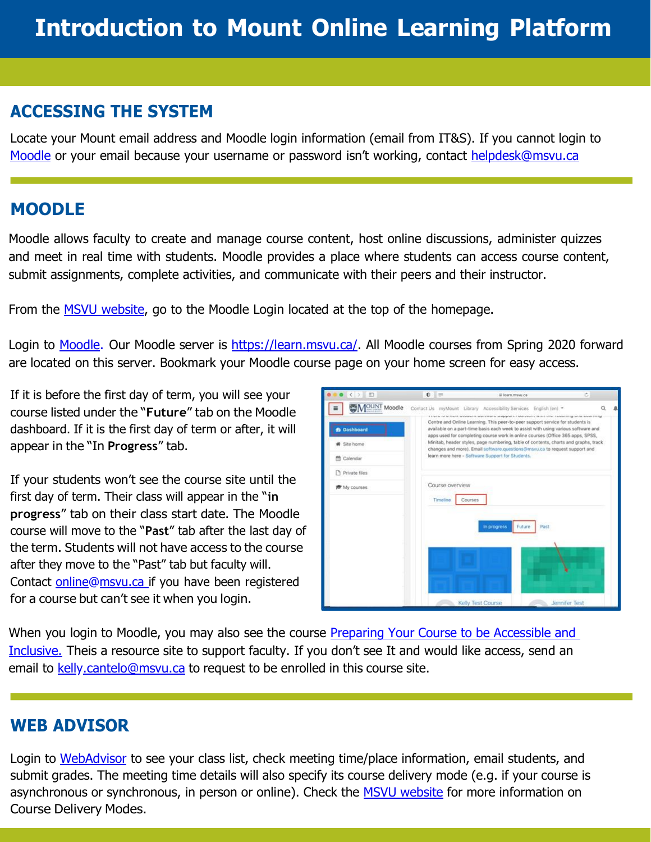# **ACCESSING THE SYSTEM**

Locate your Mount email address and Moodle login information (email from IT&S). If you cannot login to [Moodle](https://learn.msvu.ca/) or your email because your username or password isn't working, contact [helpdesk@msvu.ca](http://msvu.ca/)

#### **MOODLE**

Moodle allows faculty to create and manage course content, host online discussions, administer quizzes and meet in real time with students. Moodle provides a place where students can access course content, submit assignments, complete activities, and communicate with their peers and their instructor.

From the MSVU [website,](https://www.msvu.ca/) go to the Moodle Login located at the top of the homepage.

Login to [Moodle.](https://learn.msvu.ca/) Our Moodle server is [https://learn.msvu.ca/.](https://learn.msvu.ca/) All Moodle courses from Spring 2020 forward are located on this server. Bookmark your Moodle course page on your home screen for easy access.

If it is before the first day of term, you will see your course listed under the "**Future**" tab on the Moodle dashboard. If it is the first day of term or after, it will appear in the "In **Progress**" tab.

If your students won't see the course site until the first day of term. Their class will appear in the "**in progress**" tab on their class start date. The Moodle course will move to the "**Past**" tab after the last day of the term. Students will not have access to the course after they move to the "Past" tab but faculty will. Contact [online@msvu.ca](http://msvu.ca/) if you have been registered for a course but can't see it when you login.



When you login to Moodle, you may also see the course Preparing Your Course to be Accessible and [Inclusive.](https://learn.msvu.ca/course/view.php?id=1142) Theis a resource site to support faculty. If you don't see It and would like access, send an email to [kelly.cantelo@msvu.ca](http://msvu.ca/) to request to be enrolled in this course site.

### **WEB ADVISOR**

Login to [WebAdvisor](https://webadvisor.msvu.ca/WebAdvisor/MSVU?TOKENIDX=4478028399&SS=1&APP=ST&CONSTITUENCY=WBAP) to see your class list, check meeting time/place information, email students, and submit grades. The meeting time details will also specify its course delivery mode (e.g. if your course is asynchronous or synchronous, in person or online). Check the [MSVU website](https://www.msvu.ca/academics/teaching-and-learning-centre-and-online-learning/take-online-courses/course-delivery-modes/) for more information on Course Delivery Modes.